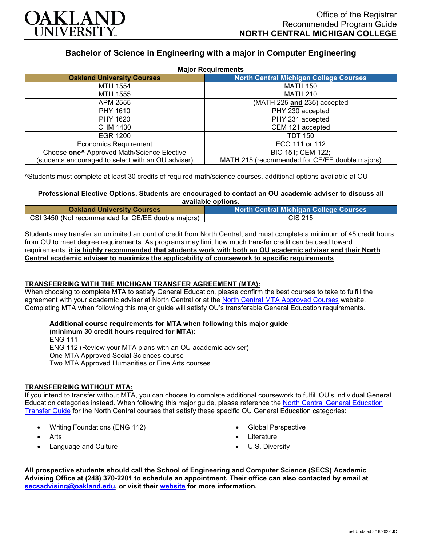

# **Bachelor of Science in Engineering with a major in Computer Engineering**

| <b>Major Requirements</b>                              |                                                |
|--------------------------------------------------------|------------------------------------------------|
| <b>Oakland University Courses</b>                      | <b>North Central Michigan College Courses</b>  |
| MTH 1554                                               | <b>MATH 150</b>                                |
| MTH 1555                                               | <b>MATH 210</b>                                |
| APM 2555                                               | (MATH 225 and 235) accepted                    |
| PHY 1610                                               | PHY 230 accepted                               |
| PHY 1620                                               | PHY 231 accepted                               |
| CHM 1430                                               | CEM 121 accepted                               |
| EGR 1200                                               | <b>TDT 150</b>                                 |
| <b>Economics Requirement</b>                           | ECO 111 or 112                                 |
| Choose one <sup>^</sup> Approved Math/Science Elective | BIO 151; CEM 122;                              |
| (students encouraged to select with an OU adviser)     | MATH 215 (recommended for CE/EE double majors) |

^Students must complete at least 30 credits of required math/science courses, additional options available at OU

### **Professional Elective Options. Students are encouraged to contact an OU academic adviser to discuss all available options.**

| <b>Oakland University Courses</b>                  | <b>North Central Michigan College Courses</b> |
|----------------------------------------------------|-----------------------------------------------|
| CSI 3450 (Not recommended for CE/EE double majors) | CIS 215                                       |

Students may transfer an unlimited amount of credit from North Central, and must complete a minimum of 45 credit hours from OU to meet degree requirements. As programs may limit how much transfer credit can be used toward requirements, **it is highly recommended that students work with both an OU academic adviser and their North Central academic adviser to maximize the applicability of coursework to specific requirements**.

# **TRANSFERRING WITH THE MICHIGAN TRANSFER AGREEMENT (MTA):**

When choosing to complete MTA to satisfy General Education, please confirm the best courses to take to fulfill the agreement with your academic adviser at North Central or at the [North Central MTA Approved Courses](https://www.ncmich.edu/admissions/transfer-information/michigan-transfer-agreement-mta.html) website. Completing MTA when following this major guide will satisfy OU's transferable General Education requirements.

#### **Additional course requirements for MTA when following this major guide (minimum 30 credit hours required for MTA):**

ENG 111 ENG 112 (Review your MTA plans with an OU academic adviser) One MTA Approved Social Sciences course Two MTA Approved Humanities or Fine Arts courses

# **TRANSFERRING WITHOUT MTA:**

If you intend to transfer without MTA, you can choose to complete additional coursework to fulfill OU's individual General Education categories instead. When following this major guide, please reference the [North Central General Education](https://www.oakland.edu/Assets/Oakland/program-guides/north-central-michigan-college/university-general-education-requirements/North%20Central%20Michigan%20Gen%20Ed.pdf)  [Transfer Guide](https://www.oakland.edu/Assets/Oakland/program-guides/north-central-michigan-college/university-general-education-requirements/North%20Central%20Michigan%20Gen%20Ed.pdf) for the North Central courses that satisfy these specific OU General Education categories:

- Writing Foundations (ENG 112)
- Arts
- Language and Culture
- Global Perspective
- **Literature**
- U.S. Diversity

**All prospective students should call the School of Engineering and Computer Science (SECS) Academic Advising Office at (248) 370-2201 to schedule an appointment. Their office can also contacted by email at [secsadvising@oakland.edu,](mailto:secsadvising@oakland.edu) or visit their [website](https://wwwp.oakland.edu/secs/advising/) for more information.**